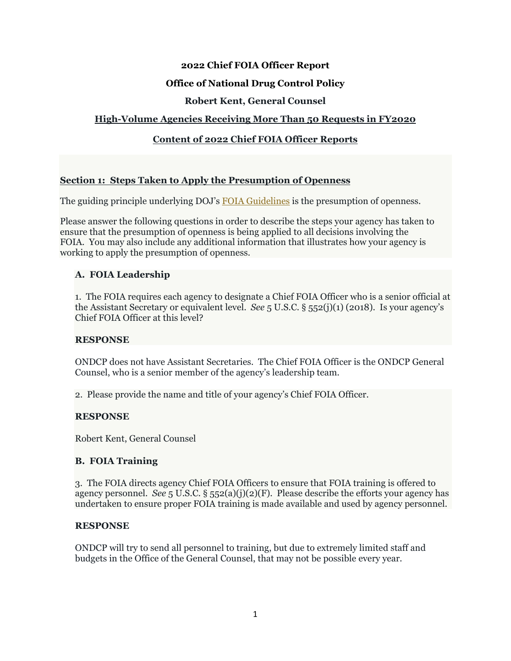## **2022 Chief FOIA Officer Report**

## **Office of National Drug Control Policy**

## **Robert Kent, General Counsel**

## **High-Volume Agencies Receiving More Than 50 Requests in FY2020**

## **Content of 2022 Chief FOIA Officer Reports**

#### **Section 1: Steps Taken to Apply the Presumption of Openness**

The guiding principle underlying DOJ's **FOIA Guidelines** is the presumption of openness.

Please answer the following questions in order to describe the steps your agency has taken to ensure that the presumption of openness is being applied to all decisions involving the FOIA. You may also include any additional information that illustrates how your agency is working to apply the presumption of openness.

## **A. FOIA Leadership**

1. The FOIA requires each agency to designate a Chief FOIA Officer who is a senior official at the Assistant Secretary or equivalent level. *See* 5 U.S.C. § 552(j)(1) (2018). Is your agency's Chief FOIA Officer at this level?

## **RESPONSE**

ONDCP does not have Assistant Secretaries. The Chief FOIA Officer is the ONDCP General Counsel, who is a senior member of the agency's leadership team.

2. Please provide the name and title of your agency's Chief FOIA Officer.

## **RESPONSE**

Robert Kent, General Counsel

## **B. FOIA Training**

3. The FOIA directs agency Chief FOIA Officers to ensure that FOIA training is offered to agency personnel. *See*  $5 \text{ U.S.C.}$   $\S$   $552(a)(i)(2)(F)$ . Please describe the efforts your agency has undertaken to ensure proper FOIA training is made available and used by agency personnel.

#### **RESPONSE**

ONDCP will try to send all personnel to training, but due to extremely limited staff and budgets in the Office of the General Counsel, that may not be possible every year.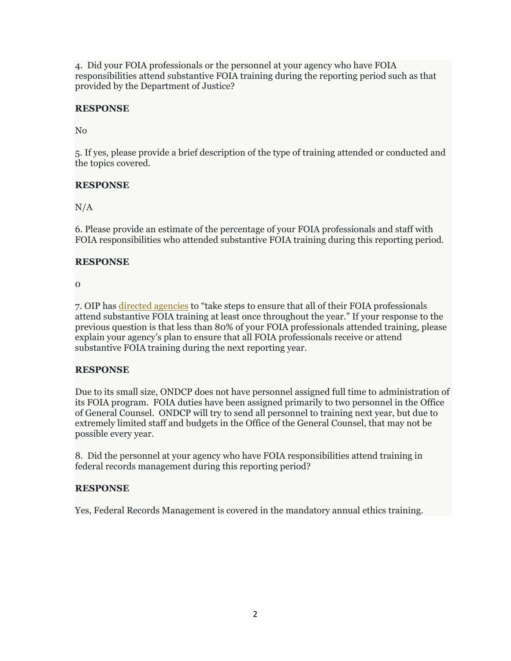4. Did your FOIA professionals or the personnel at your agency who have FOIA responsibilities attend substantive FOIA training during the reporting period such as that provided by the Department of Justice?

# **RESPONSE**

No

5. If yes, please provide a brief description of the type of training attended or conducted and the topics covered.

# **RESPONSE**

 $N/A$ 

6. Please provide an estimate of the percentage of your FOIA professionals and staff with FOIA responsibilities who attended substantive FOIA training during this reporting period.

# **RESPONSE**

0

7. OIP has directed agencies to "take steps to ensure that all of their FOIA professionals attend substantive FOIA training at least once throughout the year." If your response to the previous question is that less than 80% of your FOIA professionals attended training, please explain your agency's plan to ensure that all FOIA professionals receive or attend substantive FOIA training during the next reporting year.

# **RESPONSE**

Due to its small size, ONDCP does not have personnel assigned full time to administration of its FOIA program. FOIA duties have been assigned primarily to two personnel in the Office of General Counsel. ONDCP will try to send all personnel to training next year, but due to extremely limited staff and budgets in the Office of the General Counsel, that may not be possible every year.

8. Did the personnel at your agency who have FOIA responsibilities attend training in federal records management during this reporting period?

# **RESPONSE**

Yes, Federal Records Management is covered in the mandatory annual ethics training.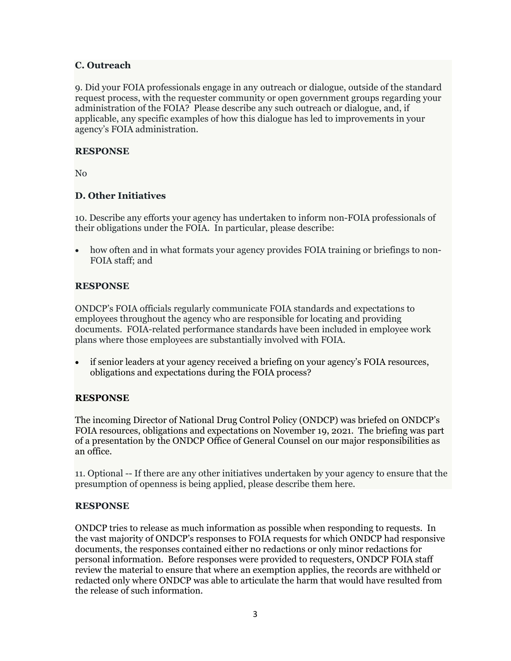### **C. Outreach**

9. Did your FOIA professionals engage in any outreach or dialogue, outside of the standard request process, with the requester community or open government groups regarding your administration of the FOIA? Please describe any such outreach or dialogue, and, if applicable, any specific examples of how this dialogue has led to improvements in your agency's FOIA administration.

### **RESPONSE**

No

## **D. Other Initiatives**

10. Describe any efforts your agency has undertaken to inform non-FOIA professionals of their obligations under the FOIA. In particular, please describe:

 how often and in what formats your agency provides FOIA training or briefings to non-FOIA staff; and

#### **RESPONSE**

ONDCP's FOIA officials regularly communicate FOIA standards and expectations to employees throughout the agency who are responsible for locating and providing documents. FOIA-related performance standards have been included in employee work plans where those employees are substantially involved with FOIA.

 if senior leaders at your agency received a briefing on your agency's FOIA resources, obligations and expectations during the FOIA process?

## **RESPONSE**

The incoming Director of National Drug Control Policy (ONDCP) was briefed on ONDCP's FOIA resources, obligations and expectations on November 19, 2021. The briefing was part of a presentation by the ONDCP Office of General Counsel on our major responsibilities as an office.

11. Optional -- If there are any other initiatives undertaken by your agency to ensure that the presumption of openness is being applied, please describe them here.

#### **RESPONSE**

ONDCP tries to release as much information as possible when responding to requests. In the vast majority of ONDCP's responses to FOIA requests for which ONDCP had responsive documents, the responses contained either no redactions or only minor redactions for personal information. Before responses were provided to requesters, ONDCP FOIA staff review the material to ensure that where an exemption applies, the records are withheld or redacted only where ONDCP was able to articulate the harm that would have resulted from the release of such information.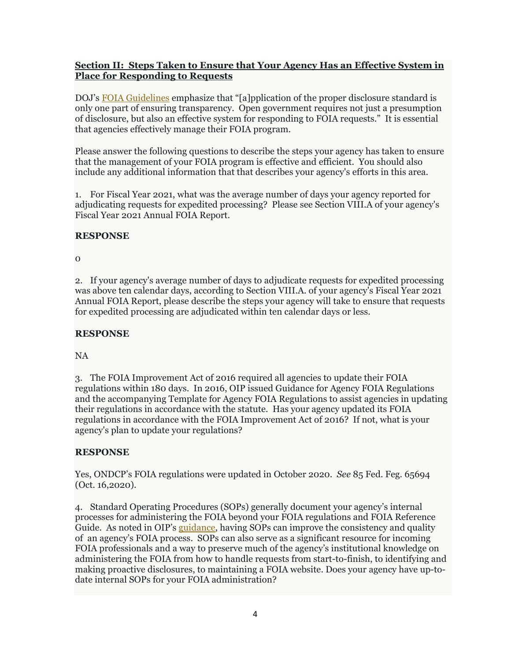## **Section II: Steps Taken to Ensure that Your Agency Has an Effective System in Place for Responding to Requests**

DOJ's FOIA Guidelines emphasize that "[a]pplication of the proper disclosure standard is only one part of ensuring transparency. Open government requires not just a presumption of disclosure, but also an effective system for responding to FOIA requests." It is essential that agencies effectively manage their FOIA program.

Please answer the following questions to describe the steps your agency has taken to ensure that the management of your FOIA program is effective and efficient. You should also include any additional information that that describes your agency's efforts in this area.

1. For Fiscal Year 2021, what was the average number of days your agency reported for adjudicating requests for expedited processing? Please see Section VIII.A of your agency's Fiscal Year 2021 Annual FOIA Report.

# **RESPONSE**

0

2. If your agency's average number of days to adjudicate requests for expedited processing was above ten calendar days, according to Section VIII.A. of your agency's Fiscal Year 2021 Annual FOIA Report, please describe the steps your agency will take to ensure that requests for expedited processing are adjudicated within ten calendar days or less.

## **RESPONSE**

NA

3. The FOIA Improvement Act of 2016 required all agencies to update their FOIA regulations within 180 days. In 2016, OIP issued Guidance for Agency FOIA Regulations and the accompanying Template for Agency FOIA Regulations to assist agencies in updating their regulations in accordance with the statute. Has your agency updated its FOIA regulations in accordance with the FOIA Improvement Act of 2016? If not, what is your agency's plan to update your regulations?

# **RESPONSE**

Yes, ONDCP's FOIA regulations were updated in October 2020. *See* 85 Fed. Feg. 65694 (Oct. 16,2020).

4. Standard Operating Procedures (SOPs) generally document your agency's internal processes for administering the FOIA beyond your FOIA regulations and FOIA Reference Guide. As noted in OIP's guidance, having SOPs can improve the consistency and quality of an agency's FOIA process. SOPs can also serve as a significant resource for incoming FOIA professionals and a way to preserve much of the agency's institutional knowledge on administering the FOIA from how to handle requests from start-to-finish, to identifying and making proactive disclosures, to maintaining a FOIA website. Does your agency have up-todate internal SOPs for your FOIA administration?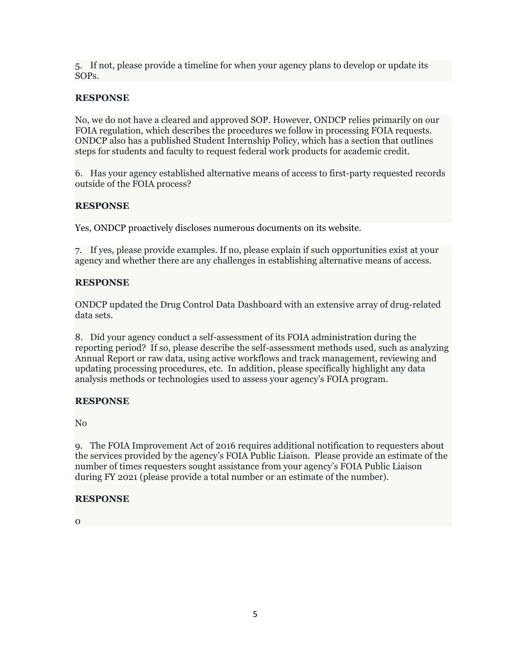5. If not, please provide a timeline for when your agency plans to develop or update its SOPs.

## **RESPONSE**

No, we do not have a cleared and approved SOP. However, ONDCP relies primarily on our FOIA regulation, which describes the procedures we follow in processing FOIA requests. ONDCP also has a published Student Internship Policy, which has a section that outlines steps for students and faculty to request federal work products for academic credit.

6. Has your agency established alternative means of access to first-party requested records outside of the FOIA process?

## **RESPONSE**

Yes, ONDCP proactively discloses numerous documents on its website.

7. If yes, please provide examples. If no, please explain if such opportunities exist at your agency and whether there are any challenges in establishing alternative means of access.

## **RESPONSE**

ONDCP updated the Drug Control Data Dashboard with an extensive array of drug-related data sets.

8. Did your agency conduct a self-assessment of its FOIA administration during the reporting period? If so, please describe the self-assessment methods used, such as analyzing Annual Report or raw data, using active workflows and track management, reviewing and updating processing procedures, etc. In addition, please specifically highlight any data analysis methods or technologies used to assess your agency's FOIA program.

# **RESPONSE**

No

9. The FOIA Improvement Act of 2016 requires additional notification to requesters about the services provided by the agency's FOIA Public Liaison. Please provide an estimate of the number of times requesters sought assistance from your agency's FOIA Public Liaison during FY 2021 (please provide a total number or an estimate of the number).

## **RESPONSE**

 $\Omega$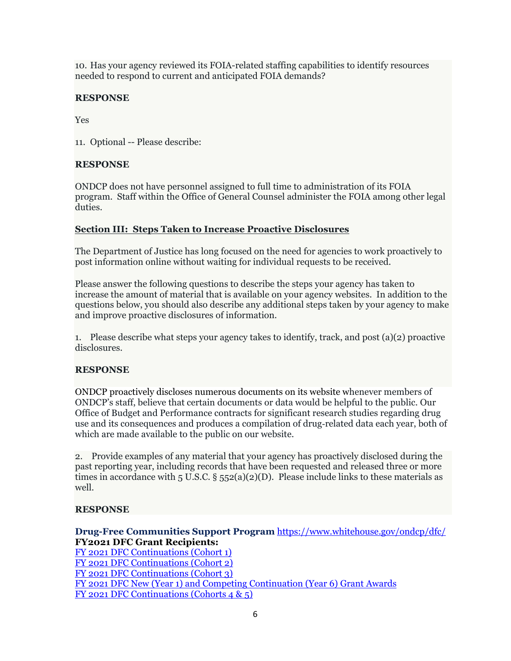10. Has your agency reviewed its FOIA-related staffing capabilities to identify resources needed to respond to current and anticipated FOIA demands?

# **RESPONSE**

Yes

11. Optional -- Please describe:

# **RESPONSE**

ONDCP does not have personnel assigned to full time to administration of its FOIA program. Staff within the Office of General Counsel administer the FOIA among other legal duties.

## **Section III: Steps Taken to Increase Proactive Disclosures**

The Department of Justice has long focused on the need for agencies to work proactively to post information online without waiting for individual requests to be received.

Please answer the following questions to describe the steps your agency has taken to increase the amount of material that is available on your agency websites. In addition to the questions below, you should also describe any additional steps taken by your agency to make and improve proactive disclosures of information.

1. Please describe what steps your agency takes to identify, track, and post (a)(2) proactive disclosures.

# **RESPONSE**

ONDCP proactively discloses numerous documents on its website whenever members of ONDCP's staff, believe that certain documents or data would be helpful to the public. Our Office of Budget and Performance contracts for significant research studies regarding drug use and its consequences and produces a compilation of drug‐related data each year, both of which are made available to the public on our website.

2. Provide examples of any material that your agency has proactively disclosed during the past reporting year, including records that have been requested and released three or more times in accordance with 5 U.S.C.  $\S$  552(a)(2)(D). Please include links to these materials as well.

# **RESPONSE**

**Drug-Free Communities Support Program** https://www.whitehouse.gov/ondcp/dfc/ **FY2021 DFC Grant Recipients:**  FY 2021 DFC Continuations (Cohort 1)

FY 2021 DFC Continuations (Cohort 2) FY 2021 DFC Continuations (Cohort 3) FY 2021 DFC New (Year 1) and Competing Continuation (Year 6) Grant Awards FY 2021 DFC Continuations (Cohorts 4 & 5)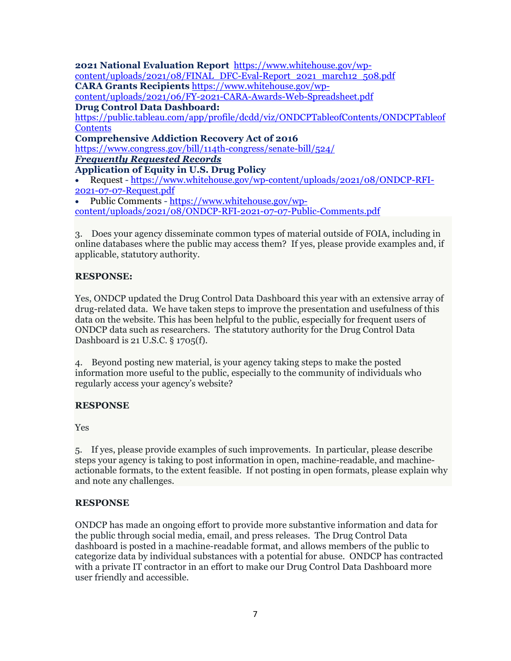**2021 National Evaluation Report** https://www.whitehouse.gov/wpcontent/uploads/2021/08/FINAL\_DFC-Eval-Report\_2021\_march12\_508.pdf **CARA Grants Recipients** https://www.whitehouse.gov/wpcontent/uploads/2021/06/FY-2021-CARA-Awards-Web-Spreadsheet.pdf **Drug Control Data Dashboard:** https://public.tableau.com/app/profile/dcdd/viz/ONDCPTableofContents/ONDCPTableof **Contents Comprehensive Addiction Recovery Act of 2016** https://www.congress.gov/bill/114th-congress/senate-bill/524/ *Frequently Requested Records*  **Application of Equity in U.S. Drug Policy**  Request - https://www.whitehouse.gov/wp-content/uploads/2021/08/ONDCP-RFI-2021-07-07-Request.pdf Public Comments - https://www.whitehouse.gov/wpcontent/uploads/2021/08/ONDCP-RFI-2021-07-07-Public-Comments.pdf

3. Does your agency disseminate common types of material outside of FOIA, including in online databases where the public may access them? If yes, please provide examples and, if applicable, statutory authority.

## **RESPONSE:**

Yes, ONDCP updated the Drug Control Data Dashboard this year with an extensive array of drug-related data. We have taken steps to improve the presentation and usefulness of this data on the website. This has been helpful to the public, especially for frequent users of ONDCP data such as researchers. The statutory authority for the Drug Control Data Dashboard is 21 U.S.C. § 1705(f).

4. Beyond posting new material, is your agency taking steps to make the posted information more useful to the public, especially to the community of individuals who regularly access your agency's website?

## **RESPONSE**

Yes

5. If yes, please provide examples of such improvements. In particular, please describe steps your agency is taking to post information in open, machine-readable, and machineactionable formats, to the extent feasible. If not posting in open formats, please explain why and note any challenges.

## **RESPONSE**

ONDCP has made an ongoing effort to provide more substantive information and data for the public through social media, email, and press releases. The Drug Control Data dashboard is posted in a machine-readable format, and allows members of the public to categorize data by individual substances with a potential for abuse. ONDCP has contracted with a private IT contractor in an effort to make our Drug Control Data Dashboard more user friendly and accessible.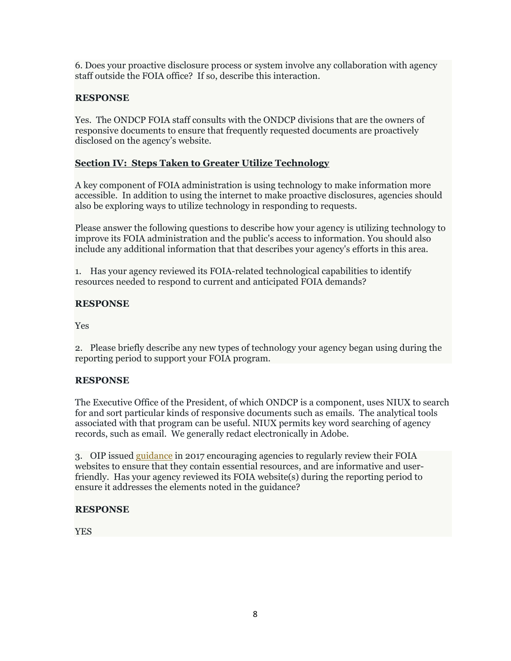6. Does your proactive disclosure process or system involve any collaboration with agency staff outside the FOIA office? If so, describe this interaction.

# **RESPONSE**

Yes. The ONDCP FOIA staff consults with the ONDCP divisions that are the owners of responsive documents to ensure that frequently requested documents are proactively disclosed on the agency's website.

# **Section IV: Steps Taken to Greater Utilize Technology**

A key component of FOIA administration is using technology to make information more accessible. In addition to using the internet to make proactive disclosures, agencies should also be exploring ways to utilize technology in responding to requests.

Please answer the following questions to describe how your agency is utilizing technology to improve its FOIA administration and the public's access to information. You should also include any additional information that that describes your agency's efforts in this area.

1. Has your agency reviewed its FOIA-related technological capabilities to identify resources needed to respond to current and anticipated FOIA demands?

# **RESPONSE**

Yes

2. Please briefly describe any new types of technology your agency began using during the reporting period to support your FOIA program.

# **RESPONSE**

The Executive Office of the President, of which ONDCP is a component, uses NIUX to search for and sort particular kinds of responsive documents such as emails. The analytical tools associated with that program can be useful. NIUX permits key word searching of agency records, such as email. We generally redact electronically in Adobe.

3. OIP issued guidance in 2017 encouraging agencies to regularly review their FOIA websites to ensure that they contain essential resources, and are informative and userfriendly. Has your agency reviewed its FOIA website(s) during the reporting period to ensure it addresses the elements noted in the guidance?

# **RESPONSE**

YES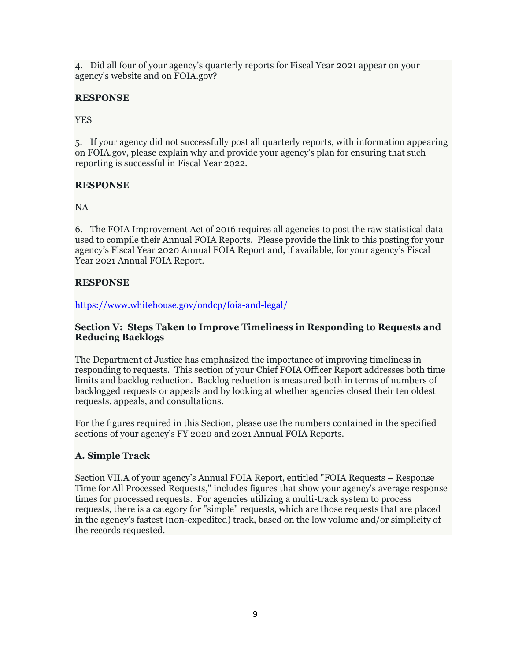4. Did all four of your agency's quarterly reports for Fiscal Year 2021 appear on your agency's website and on FOIA.gov?

# **RESPONSE**

YES

5. If your agency did not successfully post all quarterly reports, with information appearing on FOIA.gov, please explain why and provide your agency's plan for ensuring that such reporting is successful in Fiscal Year 2022.

# **RESPONSE**

NA

6. The FOIA Improvement Act of 2016 requires all agencies to post the raw statistical data used to compile their Annual FOIA Reports. Please provide the link to this posting for your agency's Fiscal Year 2020 Annual FOIA Report and, if available, for your agency's Fiscal Year 2021 Annual FOIA Report.

# **RESPONSE**

https://www.whitehouse.gov/ondcp/foia-and-legal/

## **Section V: Steps Taken to Improve Timeliness in Responding to Requests and Reducing Backlogs**

The Department of Justice has emphasized the importance of improving timeliness in responding to requests. This section of your Chief FOIA Officer Report addresses both time limits and backlog reduction. Backlog reduction is measured both in terms of numbers of backlogged requests or appeals and by looking at whether agencies closed their ten oldest requests, appeals, and consultations.

For the figures required in this Section, please use the numbers contained in the specified sections of your agency's FY 2020 and 2021 Annual FOIA Reports.

# **A. Simple Track**

Section VII.A of your agency's Annual FOIA Report, entitled "FOIA Requests – Response Time for All Processed Requests," includes figures that show your agency's average response times for processed requests. For agencies utilizing a multi-track system to process requests, there is a category for "simple" requests, which are those requests that are placed in the agency's fastest (non-expedited) track, based on the low volume and/or simplicity of the records requested.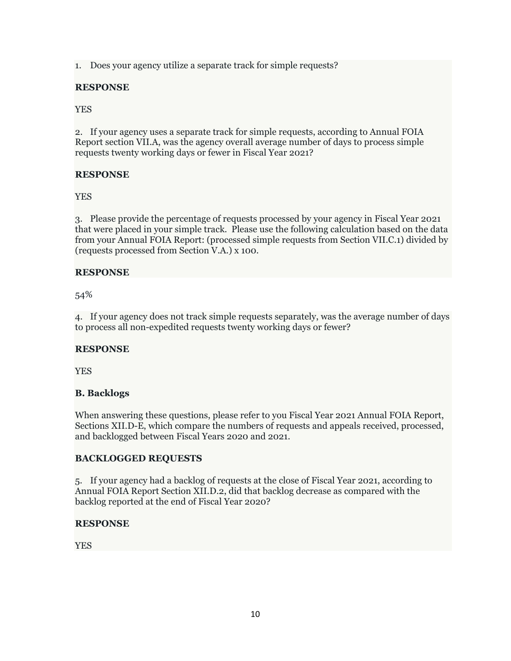1. Does your agency utilize a separate track for simple requests?

## **RESPONSE**

YES

2. If your agency uses a separate track for simple requests, according to Annual FOIA Report section VII.A, was the agency overall average number of days to process simple requests twenty working days or fewer in Fiscal Year 2021?

# **RESPONSE**

YES

3. Please provide the percentage of requests processed by your agency in Fiscal Year 2021 that were placed in your simple track. Please use the following calculation based on the data from your Annual FOIA Report: (processed simple requests from Section VII.C.1) divided by (requests processed from Section V.A.) x 100.

# **RESPONSE**

54%

4. If your agency does not track simple requests separately, was the average number of days to process all non-expedited requests twenty working days or fewer?

# **RESPONSE**

YES

# **B. Backlogs**

When answering these questions, please refer to you Fiscal Year 2021 Annual FOIA Report, Sections XII.D-E, which compare the numbers of requests and appeals received, processed, and backlogged between Fiscal Years 2020 and 2021.

# **BACKLOGGED REQUESTS**

5. If your agency had a backlog of requests at the close of Fiscal Year 2021, according to Annual FOIA Report Section XII.D.2, did that backlog decrease as compared with the backlog reported at the end of Fiscal Year 2020?

# **RESPONSE**

YES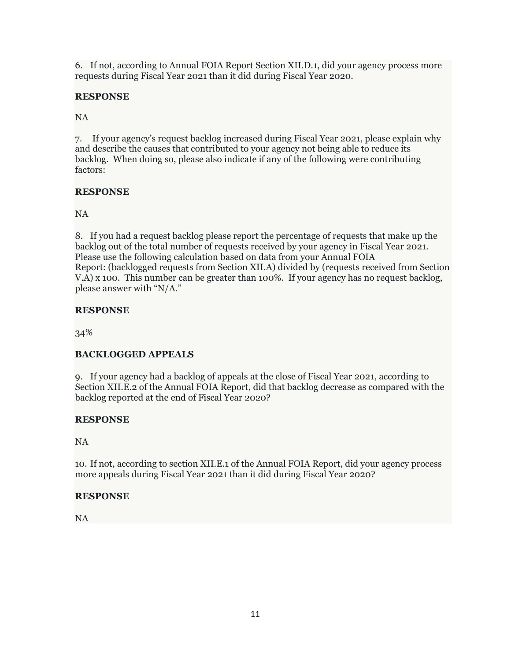6. If not, according to Annual FOIA Report Section XII.D.1, did your agency process more requests during Fiscal Year 2021 than it did during Fiscal Year 2020.

# **RESPONSE**

NA

7. If your agency's request backlog increased during Fiscal Year 2021, please explain why and describe the causes that contributed to your agency not being able to reduce its backlog. When doing so, please also indicate if any of the following were contributing factors:

# **RESPONSE**

NA

8. If you had a request backlog please report the percentage of requests that make up the backlog out of the total number of requests received by your agency in Fiscal Year 2021. Please use the following calculation based on data from your Annual FOIA Report: (backlogged requests from Section XII.A) divided by (requests received from Section V.A) x 100. This number can be greater than 100%. If your agency has no request backlog, please answer with "N/A."

# **RESPONSE**

34%

# **BACKLOGGED APPEALS**

9. If your agency had a backlog of appeals at the close of Fiscal Year 2021, according to Section XII.E.2 of the Annual FOIA Report, did that backlog decrease as compared with the backlog reported at the end of Fiscal Year 2020?

# **RESPONSE**

NA

10. If not, according to section XII.E.1 of the Annual FOIA Report, did your agency process more appeals during Fiscal Year 2021 than it did during Fiscal Year 2020?

# **RESPONSE**

NA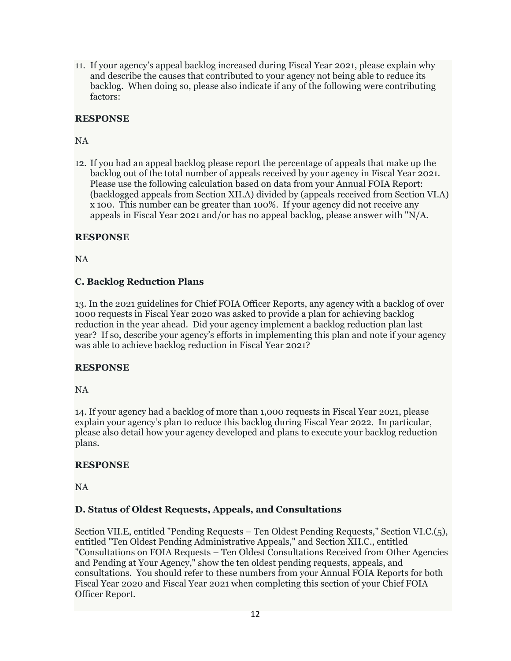11. If your agency's appeal backlog increased during Fiscal Year 2021, please explain why and describe the causes that contributed to your agency not being able to reduce its backlog. When doing so, please also indicate if any of the following were contributing factors:

# **RESPONSE**

# NA

12. If you had an appeal backlog please report the percentage of appeals that make up the backlog out of the total number of appeals received by your agency in Fiscal Year 2021. Please use the following calculation based on data from your Annual FOIA Report: (backlogged appeals from Section XII.A) divided by (appeals received from Section VI.A) x 100. This number can be greater than 100%. If your agency did not receive any appeals in Fiscal Year 2021 and/or has no appeal backlog, please answer with "N/A.

# **RESPONSE**

NA

# **C. Backlog Reduction Plans**

13. In the 2021 guidelines for Chief FOIA Officer Reports, any agency with a backlog of over 1000 requests in Fiscal Year 2020 was asked to provide a plan for achieving backlog reduction in the year ahead. Did your agency implement a backlog reduction plan last year? If so, describe your agency's efforts in implementing this plan and note if your agency was able to achieve backlog reduction in Fiscal Year 2021?

# **RESPONSE**

NA

14. If your agency had a backlog of more than 1,000 requests in Fiscal Year 2021, please explain your agency's plan to reduce this backlog during Fiscal Year 2022. In particular, please also detail how your agency developed and plans to execute your backlog reduction plans.

# **RESPONSE**

NA

# **D. Status of Oldest Requests, Appeals, and Consultations**

Section VII.E, entitled "Pending Requests – Ten Oldest Pending Requests," Section VI.C.(5), entitled "Ten Oldest Pending Administrative Appeals," and Section XII.C., entitled "Consultations on FOIA Requests – Ten Oldest Consultations Received from Other Agencies and Pending at Your Agency," show the ten oldest pending requests, appeals, and consultations. You should refer to these numbers from your Annual FOIA Reports for both Fiscal Year 2020 and Fiscal Year 2021 when completing this section of your Chief FOIA Officer Report.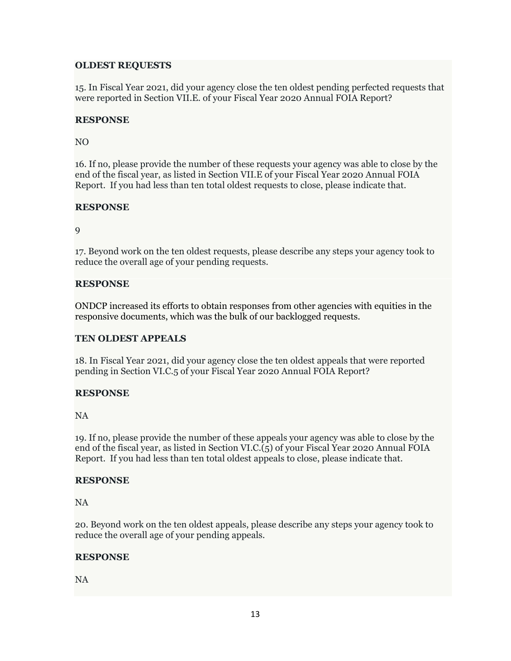## **OLDEST REQUESTS**

15. In Fiscal Year 2021, did your agency close the ten oldest pending perfected requests that were reported in Section VII.E. of your Fiscal Year 2020 Annual FOIA Report?

## **RESPONSE**

## NO

16. If no, please provide the number of these requests your agency was able to close by the end of the fiscal year, as listed in Section VII.E of your Fiscal Year 2020 Annual FOIA Report. If you had less than ten total oldest requests to close, please indicate that.

# **RESPONSE**

9

17. Beyond work on the ten oldest requests, please describe any steps your agency took to reduce the overall age of your pending requests.

## **RESPONSE**

ONDCP increased its efforts to obtain responses from other agencies with equities in the responsive documents, which was the bulk of our backlogged requests.

# **TEN OLDEST APPEALS**

18. In Fiscal Year 2021, did your agency close the ten oldest appeals that were reported pending in Section VI.C.5 of your Fiscal Year 2020 Annual FOIA Report?

## **RESPONSE**

NA

19. If no, please provide the number of these appeals your agency was able to close by the end of the fiscal year, as listed in Section VI.C.(5) of your Fiscal Year 2020 Annual FOIA Report. If you had less than ten total oldest appeals to close, please indicate that.

## **RESPONSE**

NA

20. Beyond work on the ten oldest appeals, please describe any steps your agency took to reduce the overall age of your pending appeals.

# **RESPONSE**

NA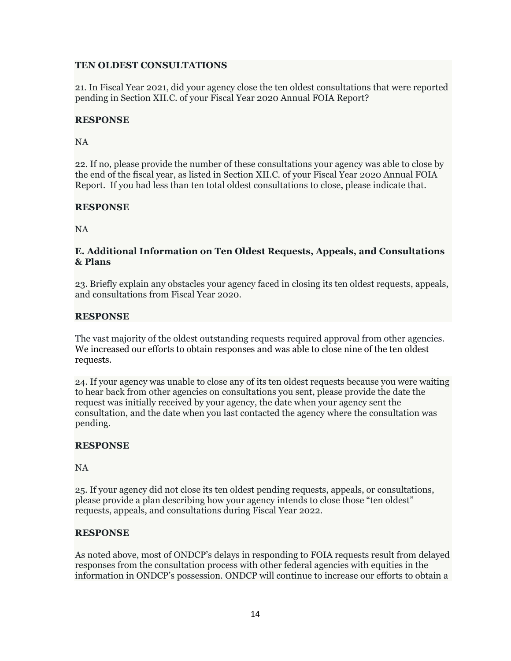## **TEN OLDEST CONSULTATIONS**

21. In Fiscal Year 2021, did your agency close the ten oldest consultations that were reported pending in Section XII.C. of your Fiscal Year 2020 Annual FOIA Report?

### **RESPONSE**

### NA

22. If no, please provide the number of these consultations your agency was able to close by the end of the fiscal year, as listed in Section XII.C. of your Fiscal Year 2020 Annual FOIA Report. If you had less than ten total oldest consultations to close, please indicate that.

## **RESPONSE**

NA

## **E. Additional Information on Ten Oldest Requests, Appeals, and Consultations & Plans**

23. Briefly explain any obstacles your agency faced in closing its ten oldest requests, appeals, and consultations from Fiscal Year 2020.

## **RESPONSE**

The vast majority of the oldest outstanding requests required approval from other agencies. We increased our efforts to obtain responses and was able to close nine of the ten oldest requests.

24. If your agency was unable to close any of its ten oldest requests because you were waiting to hear back from other agencies on consultations you sent, please provide the date the request was initially received by your agency, the date when your agency sent the consultation, and the date when you last contacted the agency where the consultation was pending.

## **RESPONSE**

NA

25. If your agency did not close its ten oldest pending requests, appeals, or consultations, please provide a plan describing how your agency intends to close those "ten oldest" requests, appeals, and consultations during Fiscal Year 2022.

## **RESPONSE**

As noted above, most of ONDCP's delays in responding to FOIA requests result from delayed responses from the consultation process with other federal agencies with equities in the information in ONDCP's possession. ONDCP will continue to increase our efforts to obtain a